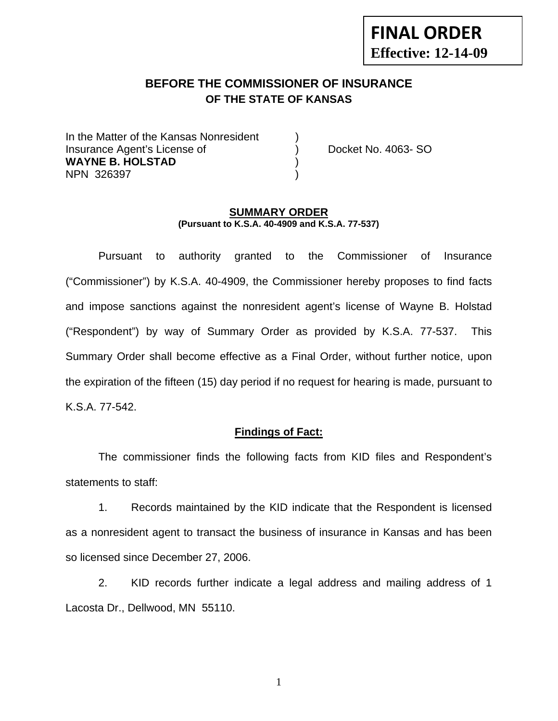# **FINAL ORDER Effective: 12-14-09**

# **BEFORE THE COMMISSIONER OF INSURANCE OF THE STATE OF KANSAS**

In the Matter of the Kansas Nonresident Insurance Agent's License of ) Docket No. 4063- SO **WAYNE B. HOLSTAD** ) NPN 326397 )

#### **SUMMARY ORDER (Pursuant to K.S.A. 40-4909 and K.S.A. 77-537)**

 Pursuant to authority granted to the Commissioner of Insurance ("Commissioner") by K.S.A. 40-4909, the Commissioner hereby proposes to find facts and impose sanctions against the nonresident agent's license of Wayne B. Holstad ("Respondent") by way of Summary Order as provided by K.S.A. 77-537. This Summary Order shall become effective as a Final Order, without further notice, upon the expiration of the fifteen (15) day period if no request for hearing is made, pursuant to K.S.A. 77-542.

#### **Findings of Fact:**

 The commissioner finds the following facts from KID files and Respondent's statements to staff:

 1. Records maintained by the KID indicate that the Respondent is licensed as a nonresident agent to transact the business of insurance in Kansas and has been so licensed since December 27, 2006.

 2. KID records further indicate a legal address and mailing address of 1 Lacosta Dr., Dellwood, MN 55110.

1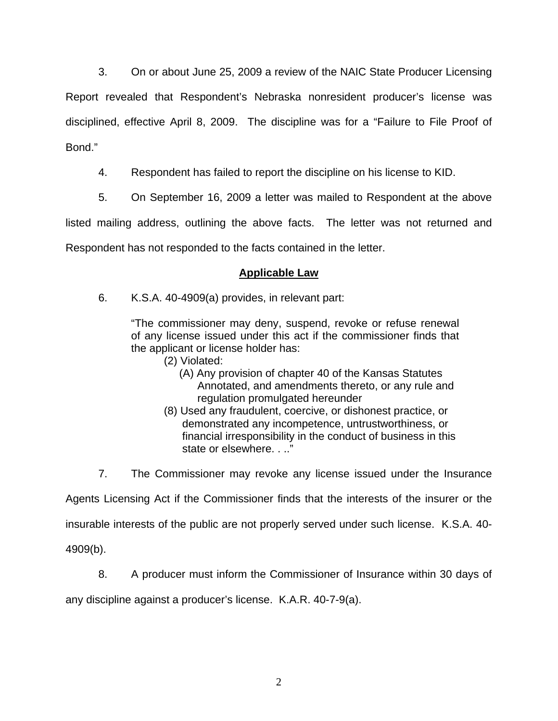3. On or about June 25, 2009 a review of the NAIC State Producer Licensing Report revealed that Respondent's Nebraska nonresident producer's license was disciplined, effective April 8, 2009. The discipline was for a "Failure to File Proof of Bond."

4. Respondent has failed to report the discipline on his license to KID.

5. On September 16, 2009 a letter was mailed to Respondent at the above

listed mailing address, outlining the above facts. The letter was not returned and Respondent has not responded to the facts contained in the letter.

# **Applicable Law**

6. K.S.A. 40-4909(a) provides, in relevant part:

"The commissioner may deny, suspend, revoke or refuse renewal of any license issued under this act if the commissioner finds that the applicant or license holder has:

- (2) Violated:
	- (A) Any provision of chapter 40 of the Kansas Statutes Annotated, and amendments thereto, or any rule and regulation promulgated hereunder
- (8) Used any fraudulent, coercive, or dishonest practice, or demonstrated any incompetence, untrustworthiness, or financial irresponsibility in the conduct of business in this state or elsewhere. . .."

7. The Commissioner may revoke any license issued under the Insurance

Agents Licensing Act if the Commissioner finds that the interests of the insurer or the

insurable interests of the public are not properly served under such license. K.S.A. 40-

4909(b).

8. A producer must inform the Commissioner of Insurance within 30 days of

any discipline against a producer's license. K.A.R. 40-7-9(a).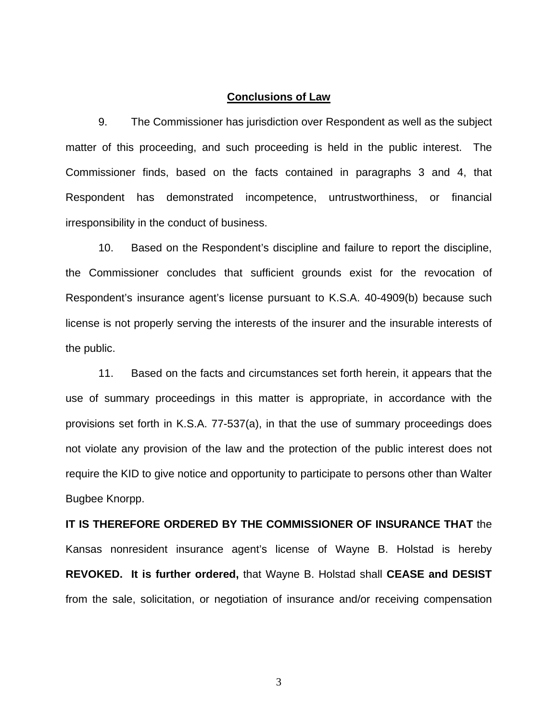#### **Conclusions of Law**

 9. The Commissioner has jurisdiction over Respondent as well as the subject matter of this proceeding, and such proceeding is held in the public interest. The Commissioner finds, based on the facts contained in paragraphs 3 and 4, that Respondent has demonstrated incompetence, untrustworthiness, or financial irresponsibility in the conduct of business.

 10. Based on the Respondent's discipline and failure to report the discipline, the Commissioner concludes that sufficient grounds exist for the revocation of Respondent's insurance agent's license pursuant to K.S.A. 40-4909(b) because such license is not properly serving the interests of the insurer and the insurable interests of the public.

 11. Based on the facts and circumstances set forth herein, it appears that the use of summary proceedings in this matter is appropriate, in accordance with the provisions set forth in K.S.A. 77-537(a), in that the use of summary proceedings does not violate any provision of the law and the protection of the public interest does not require the KID to give notice and opportunity to participate to persons other than Walter Bugbee Knorpp.

**IT IS THEREFORE ORDERED BY THE COMMISSIONER OF INSURANCE THAT** the Kansas nonresident insurance agent's license of Wayne B. Holstad is hereby **REVOKED. It is further ordered,** that Wayne B. Holstad shall **CEASE and DESIST** from the sale, solicitation, or negotiation of insurance and/or receiving compensation

3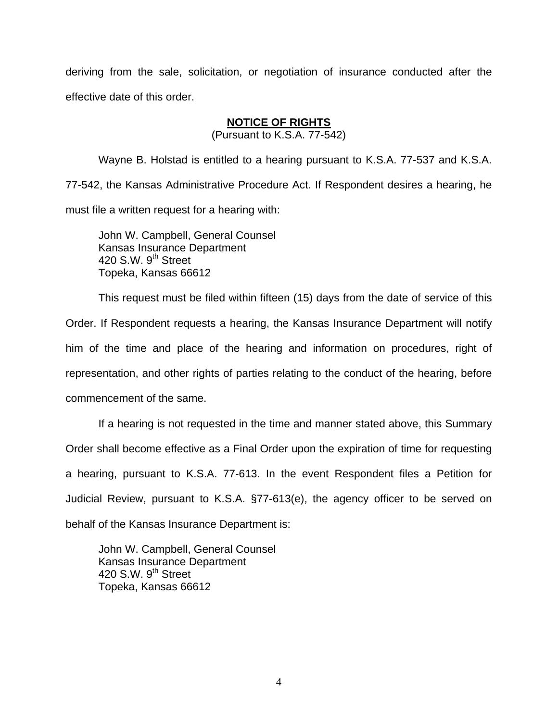deriving from the sale, solicitation, or negotiation of insurance conducted after the effective date of this order.

### **NOTICE OF RIGHTS**

(Pursuant to K.S.A. 77-542)

Wayne B. Holstad is entitled to a hearing pursuant to K.S.A. 77-537 and K.S.A. 77-542, the Kansas Administrative Procedure Act. If Respondent desires a hearing, he must file a written request for a hearing with:

 John W. Campbell, General Counsel Kansas Insurance Department 420 S.W. 9<sup>th</sup> Street Topeka, Kansas 66612

This request must be filed within fifteen (15) days from the date of service of this Order. If Respondent requests a hearing, the Kansas Insurance Department will notify him of the time and place of the hearing and information on procedures, right of representation, and other rights of parties relating to the conduct of the hearing, before commencement of the same.

If a hearing is not requested in the time and manner stated above, this Summary Order shall become effective as a Final Order upon the expiration of time for requesting a hearing, pursuant to K.S.A. 77-613. In the event Respondent files a Petition for Judicial Review, pursuant to K.S.A. §77-613(e), the agency officer to be served on behalf of the Kansas Insurance Department is:

 John W. Campbell, General Counsel Kansas Insurance Department 420 S.W. 9<sup>th</sup> Street Topeka, Kansas 66612